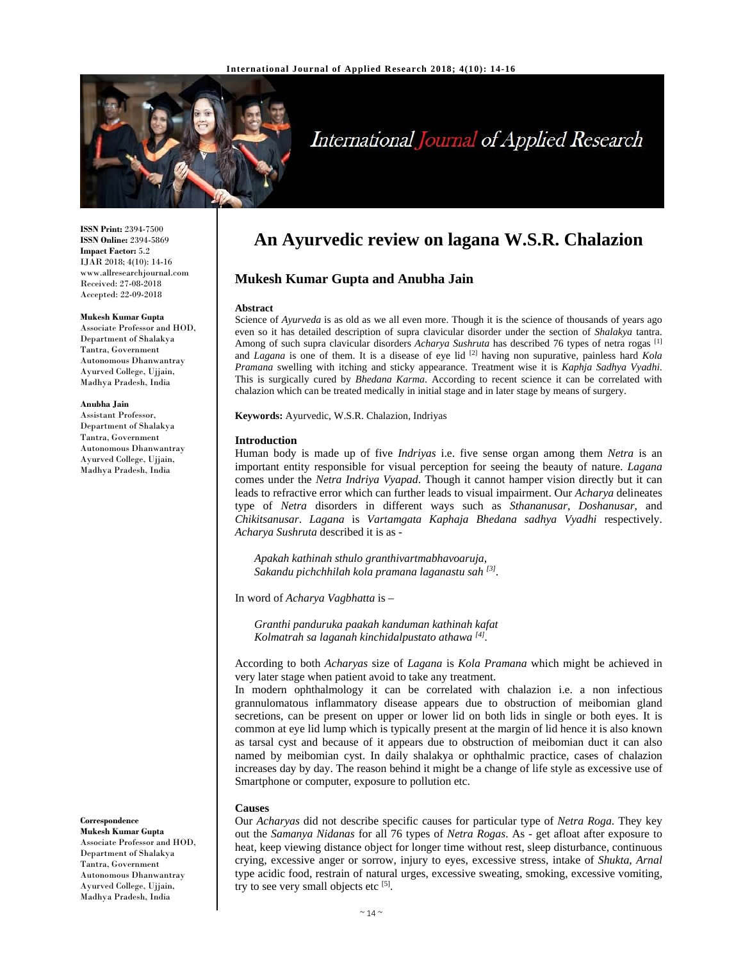

# International Journal of Applied Research

**ISSN Print:** 2394-7500 **ISSN Online:** 2394-5869 **Impact Factor:** 5.2 IJAR 2018; 4(10): 14-16 www.allresearchjournal.com Received: 27-08-2018 Accepted: 22-09-2018

#### **Mukesh Kumar Gupta**

Associate Professor and HOD, Department of Shalakya Tantra, Government Autonomous Dhanwantray Ayurved College, Ujjain, Madhya Pradesh, India

#### **Anubha Jain**

Assistant Professor, Department of Shalakya Tantra, Government Autonomous Dhanwantray Ayurved College, Ujjain, Madhya Pradesh, India

**Correspondence** 

**Mukesh Kumar Gupta**  Associate Professor and HOD, Department of Shalakya Tantra, Government Autonomous Dhanwantray Ayurved College, Ujjain, Madhya Pradesh, India

# **An Ayurvedic review on lagana W.S.R. Chalazion**

# **Mukesh Kumar Gupta and Anubha Jain**

#### **Abstract**

Science of *Ayurveda* is as old as we all even more. Though it is the science of thousands of years ago even so it has detailed description of supra clavicular disorder under the section of *Shalakya* tantra. Among of such supra clavicular disorders *Acharya Sushruta* has described 76 types of netra rogas [1] and *Lagana* is one of them. It is a disease of eye lid [2] having non supurative, painless hard *Kola Pramana* swelling with itching and sticky appearance. Treatment wise it is *Kaphja Sadhya Vyadhi*. This is surgically cured by *Bhedana Karma*. According to recent science it can be correlated with chalazion which can be treated medically in initial stage and in later stage by means of surgery.

**Keywords:** Ayurvedic, W.S.R. Chalazion, Indriyas

## **Introduction**

Human body is made up of five *Indriyas* i.e. five sense organ among them *Netra* is an important entity responsible for visual perception for seeing the beauty of nature. *Lagana* comes under the *Netra Indriya Vyapad*. Though it cannot hamper vision directly but it can leads to refractive error which can further leads to visual impairment. Our *Acharya* delineates type of *Netra* disorders in different ways such as *Sthananusar*, *Doshanusar*, and *Chikitsanusar*. *Lagana* is *Vartamgata Kaphaja Bhedana sadhya Vyadhi* respectively. *Acharya Sushruta* described it is as -

*Apakah kathinah sthulo granthivartmabhavoaruja, Sakandu pichchhilah kola pramana laganastu sah [3].* 

In word of *Acharya Vagbhatta* is –

*Granthi panduruka paakah kanduman kathinah kafat Kolmatrah sa laganah kinchidalpustato athawa [4].* 

According to both *Acharyas* size of *Lagana* is *Kola Pramana* which might be achieved in very later stage when patient avoid to take any treatment.

In modern ophthalmology it can be correlated with chalazion i.e. a non infectious grannulomatous inflammatory disease appears due to obstruction of meibomian gland secretions, can be present on upper or lower lid on both lids in single or both eyes. It is common at eye lid lump which is typically present at the margin of lid hence it is also known as tarsal cyst and because of it appears due to obstruction of meibomian duct it can also named by meibomian cyst. In daily shalakya or ophthalmic practice, cases of chalazion increases day by day. The reason behind it might be a change of life style as excessive use of Smartphone or computer, exposure to pollution etc.

#### **Causes**

Our *Acharyas* did not describe specific causes for particular type of *Netra Roga*. They key out the *Samanya Nidanas* for all 76 types of *Netra Rogas*. As - get afloat after exposure to heat, keep viewing distance object for longer time without rest, sleep disturbance, continuous crying, excessive anger or sorrow, injury to eyes, excessive stress, intake of *Shukta*, *Arnal* type acidic food, restrain of natural urges, excessive sweating, smoking, excessive vomiting, try to see very small objects etc  $[5]$ .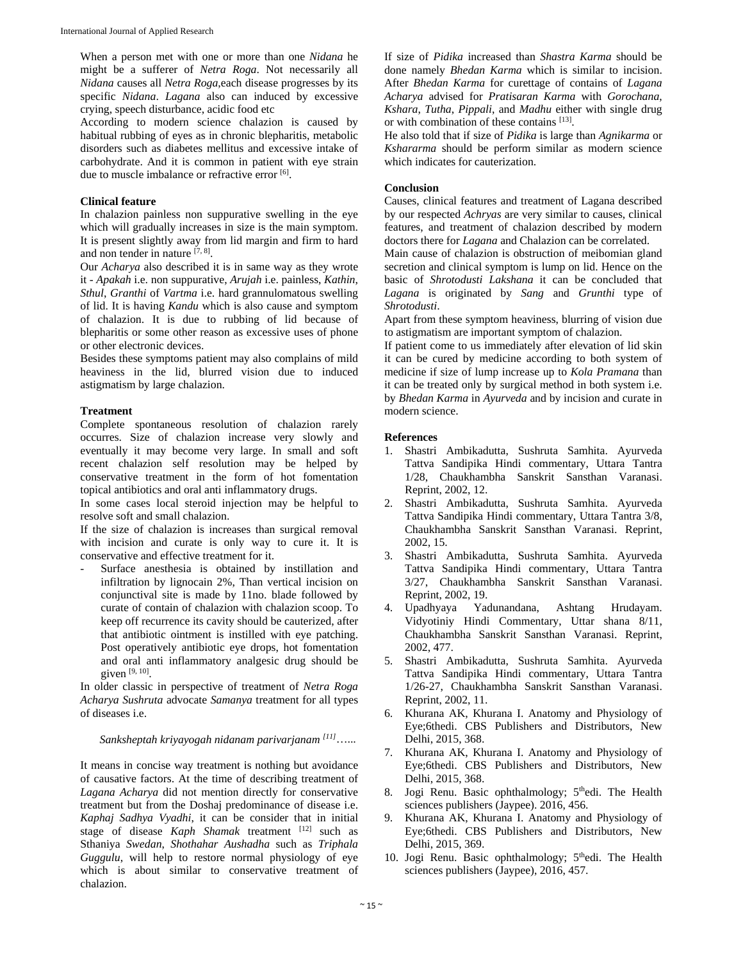When a person met with one or more than one *Nidana* he might be a sufferer of *Netra Roga*. Not necessarily all *Nidana* causes all *Netra Roga*,each disease progresses by its specific *Nidana*. *Lagana* also can induced by excessive crying, speech disturbance, acidic food etc

According to modern science chalazion is caused by habitual rubbing of eyes as in chronic blepharitis, metabolic disorders such as diabetes mellitus and excessive intake of carbohydrate. And it is common in patient with eye strain due to muscle imbalance or refractive error [6].

# **Clinical feature**

In chalazion painless non suppurative swelling in the eye which will gradually increases in size is the main symptom. It is present slightly away from lid margin and firm to hard and non tender in nature  $[7, 8]$ .

Our *Acharya* also described it is in same way as they wrote it - *Apakah* i.e. non suppurative, *Arujah* i.e. painless, *Kathin*, *Sthul*, *Granthi* of *Vartma* i.e. hard grannulomatous swelling of lid. It is having *Kandu* which is also cause and symptom of chalazion. It is due to rubbing of lid because of blepharitis or some other reason as excessive uses of phone or other electronic devices.

Besides these symptoms patient may also complains of mild heaviness in the lid, blurred vision due to induced astigmatism by large chalazion.

# **Treatment**

Complete spontaneous resolution of chalazion rarely occurres. Size of chalazion increase very slowly and eventually it may become very large. In small and soft recent chalazion self resolution may be helped by conservative treatment in the form of hot fomentation topical antibiotics and oral anti inflammatory drugs.

In some cases local steroid injection may be helpful to resolve soft and small chalazion.

If the size of chalazion is increases than surgical removal with incision and curate is only way to cure it. It is conservative and effective treatment for it.

Surface anesthesia is obtained by instillation and infiltration by lignocain 2%, Than vertical incision on conjunctival site is made by 11no. blade followed by curate of contain of chalazion with chalazion scoop. To keep off recurrence its cavity should be cauterized, after that antibiotic ointment is instilled with eye patching. Post operatively antibiotic eye drops, hot fomentation and oral anti inflammatory analgesic drug should be given [9, 10].

In older classic in perspective of treatment of *Netra Roga Acharya Sushruta* advocate *Samanya* treatment for all types of diseases i.e.

# *Sanksheptah kriyayogah nidanam parivarjanam [11]*…...

It means in concise way treatment is nothing but avoidance of causative factors. At the time of describing treatment of *Lagana Acharya* did not mention directly for conservative treatment but from the Doshaj predominance of disease i.e. *Kaphaj Sadhya Vyadhi*, it can be consider that in initial stage of disease *Kaph Shamak* treatment [12] such as Sthaniya *Swedan*, *Shothahar Aushadha* such as *Triphala Guggulu*, will help to restore normal physiology of eye which is about similar to conservative treatment of chalazion.

If size of *Pidika* increased than *Shastra Karma* should be done namely *Bhedan Karma* which is similar to incision. After *Bhedan Karma* for curettage of contains of *Lagana Acharya* advised for *Pratisaran Karma* with *Gorochana*, *Kshara*, *Tutha*, *Pippali*, and *Madhu* either with single drug or with combination of these contains [13].

He also told that if size of *Pidika* is large than *Agnikarma* or *Kshararma* should be perform similar as modern science which indicates for cauterization.

# **Conclusion**

Causes, clinical features and treatment of Lagana described by our respected *Achryas* are very similar to causes, clinical features, and treatment of chalazion described by modern doctors there for *Lagana* and Chalazion can be correlated.

Main cause of chalazion is obstruction of meibomian gland secretion and clinical symptom is lump on lid. Hence on the basic of *Shrotodusti Lakshana* it can be concluded that *Lagana* is originated by *Sang* and *Grunthi* type of *Shrotodusti*.

Apart from these symptom heaviness, blurring of vision due to astigmatism are important symptom of chalazion.

If patient come to us immediately after elevation of lid skin it can be cured by medicine according to both system of medicine if size of lump increase up to *Kola Pramana* than it can be treated only by surgical method in both system i.e. by *Bhedan Karma* in *Ayurveda* and by incision and curate in modern science.

## **References**

- 1. Shastri Ambikadutta, Sushruta Samhita. Ayurveda Tattva Sandipika Hindi commentary, Uttara Tantra 1/28, Chaukhambha Sanskrit Sansthan Varanasi. Reprint, 2002, 12.
- 2. Shastri Ambikadutta, Sushruta Samhita. Ayurveda Tattva Sandipika Hindi commentary, Uttara Tantra 3/8, Chaukhambha Sanskrit Sansthan Varanasi. Reprint, 2002, 15.
- 3. Shastri Ambikadutta, Sushruta Samhita. Ayurveda Tattva Sandipika Hindi commentary, Uttara Tantra 3/27, Chaukhambha Sanskrit Sansthan Varanasi. Reprint, 2002, 19.
- 4. Upadhyaya Yadunandana, Ashtang Hrudayam. Vidyotiniy Hindi Commentary, Uttar shana 8/11, Chaukhambha Sanskrit Sansthan Varanasi. Reprint, 2002, 477.
- 5. Shastri Ambikadutta, Sushruta Samhita. Ayurveda Tattva Sandipika Hindi commentary, Uttara Tantra 1/26-27, Chaukhambha Sanskrit Sansthan Varanasi. Reprint, 2002, 11.
- 6. Khurana AK, Khurana I. Anatomy and Physiology of Eye;6thedi. CBS Publishers and Distributors, New Delhi, 2015, 368.
- 7. Khurana AK, Khurana I. Anatomy and Physiology of Eye;6thedi. CBS Publishers and Distributors, New Delhi, 2015, 368.
- 8. Jogi Renu. Basic ophthalmology;  $5<sup>th</sup>$ edi. The Health sciences publishers (Jaypee). 2016, 456.
- 9. Khurana AK, Khurana I. Anatomy and Physiology of Eye;6thedi. CBS Publishers and Distributors, New Delhi, 2015, 369.
- 10. Jogi Renu. Basic ophthalmology;  $5<sup>th</sup>$ edi. The Health sciences publishers (Jaypee), 2016, 457.